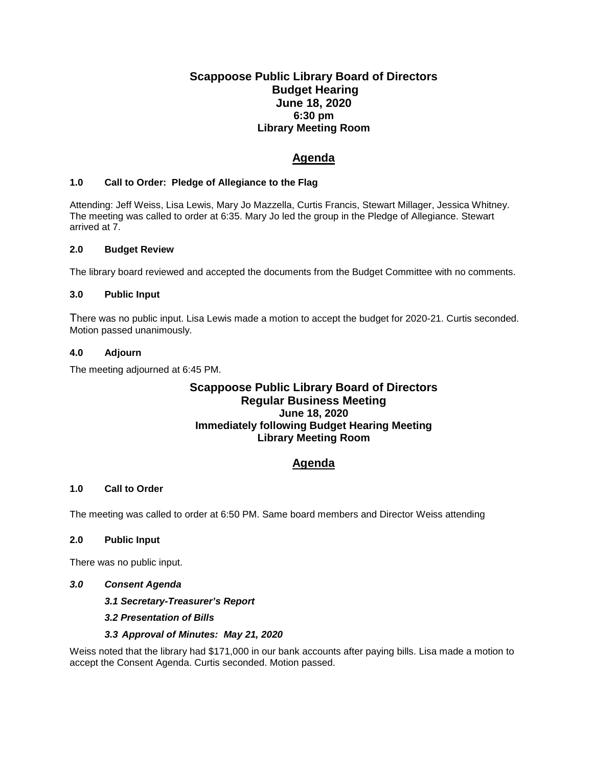# **Scappoose Public Library Board of Directors Budget Hearing June 18, 2020 6:30 pm Library Meeting Room**

# **Agenda**

### **1.0 Call to Order: Pledge of Allegiance to the Flag**

Attending: Jeff Weiss, Lisa Lewis, Mary Jo Mazzella, Curtis Francis, Stewart Millager, Jessica Whitney. The meeting was called to order at 6:35. Mary Jo led the group in the Pledge of Allegiance. Stewart arrived at 7.

#### **2.0 Budget Review**

The library board reviewed and accepted the documents from the Budget Committee with no comments.

#### **3.0 Public Input**

There was no public input. Lisa Lewis made a motion to accept the budget for 2020-21. Curtis seconded. Motion passed unanimously.

#### **4.0 Adjourn**

The meeting adjourned at 6:45 PM.

## **Scappoose Public Library Board of Directors Regular Business Meeting June 18, 2020 Immediately following Budget Hearing Meeting Library Meeting Room**

# **Agenda**

### **1.0 Call to Order**

The meeting was called to order at 6:50 PM. Same board members and Director Weiss attending

### **2.0 Public Input**

There was no public input.

#### *3.0 Consent Agenda*

*3.1 Secretary-Treasurer's Report*

*3.2 Presentation of Bills*

### *3.3 Approval of Minutes: May 21, 2020*

Weiss noted that the library had \$171,000 in our bank accounts after paying bills. Lisa made a motion to accept the Consent Agenda. Curtis seconded. Motion passed.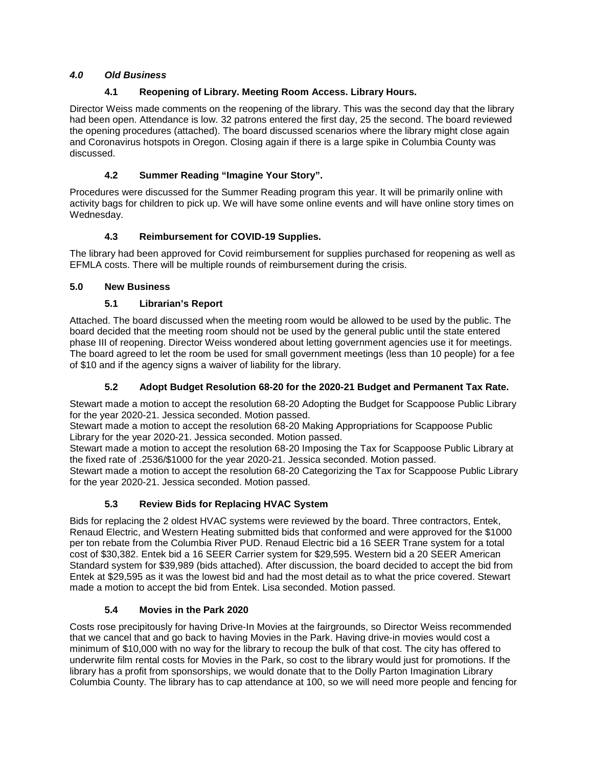## *4.0 Old Business*

## **4.1 Reopening of Library. Meeting Room Access. Library Hours.**

Director Weiss made comments on the reopening of the library. This was the second day that the library had been open. Attendance is low. 32 patrons entered the first day, 25 the second. The board reviewed the opening procedures (attached). The board discussed scenarios where the library might close again and Coronavirus hotspots in Oregon. Closing again if there is a large spike in Columbia County was discussed.

## **4.2 Summer Reading "Imagine Your Story".**

Procedures were discussed for the Summer Reading program this year. It will be primarily online with activity bags for children to pick up. We will have some online events and will have online story times on Wednesday.

### **4.3 Reimbursement for COVID-19 Supplies.**

The library had been approved for Covid reimbursement for supplies purchased for reopening as well as EFMLA costs. There will be multiple rounds of reimbursement during the crisis.

### **5.0 New Business**

### **5.1 Librarian's Report**

Attached. The board discussed when the meeting room would be allowed to be used by the public. The board decided that the meeting room should not be used by the general public until the state entered phase III of reopening. Director Weiss wondered about letting government agencies use it for meetings. The board agreed to let the room be used for small government meetings (less than 10 people) for a fee of \$10 and if the agency signs a waiver of liability for the library.

### **5.2 Adopt Budget Resolution 68-20 for the 2020-21 Budget and Permanent Tax Rate.**

Stewart made a motion to accept the resolution 68-20 Adopting the Budget for Scappoose Public Library for the year 2020-21. Jessica seconded. Motion passed.

Stewart made a motion to accept the resolution 68-20 Making Appropriations for Scappoose Public Library for the year 2020-21. Jessica seconded. Motion passed.

Stewart made a motion to accept the resolution 68-20 Imposing the Tax for Scappoose Public Library at the fixed rate of .2536/\$1000 for the year 2020-21. Jessica seconded. Motion passed.

Stewart made a motion to accept the resolution 68-20 Categorizing the Tax for Scappoose Public Library for the year 2020-21. Jessica seconded. Motion passed.

# **5.3 Review Bids for Replacing HVAC System**

Bids for replacing the 2 oldest HVAC systems were reviewed by the board. Three contractors, Entek, Renaud Electric, and Western Heating submitted bids that conformed and were approved for the \$1000 per ton rebate from the Columbia River PUD. Renaud Electric bid a 16 SEER Trane system for a total cost of \$30,382. Entek bid a 16 SEER Carrier system for \$29,595. Western bid a 20 SEER American Standard system for \$39,989 (bids attached). After discussion, the board decided to accept the bid from Entek at \$29,595 as it was the lowest bid and had the most detail as to what the price covered. Stewart made a motion to accept the bid from Entek. Lisa seconded. Motion passed.

### **5.4 Movies in the Park 2020**

Costs rose precipitously for having Drive-In Movies at the fairgrounds, so Director Weiss recommended that we cancel that and go back to having Movies in the Park. Having drive-in movies would cost a minimum of \$10,000 with no way for the library to recoup the bulk of that cost. The city has offered to underwrite film rental costs for Movies in the Park, so cost to the library would just for promotions. If the library has a profit from sponsorships, we would donate that to the Dolly Parton Imagination Library Columbia County. The library has to cap attendance at 100, so we will need more people and fencing for